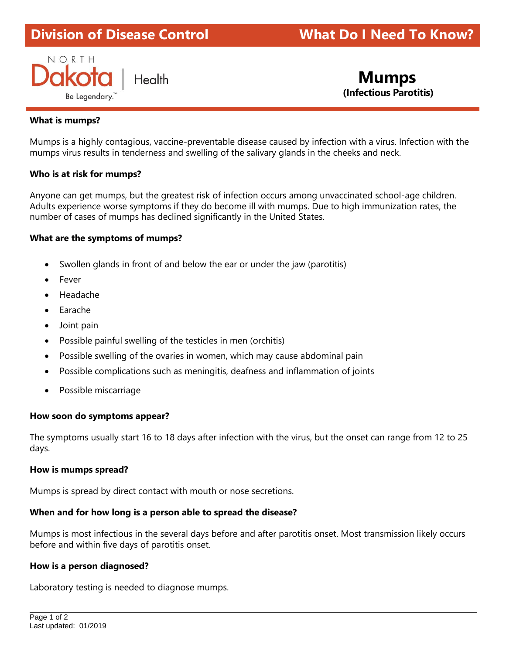# **Division of Disease Control What Do I Need To Know?**



 **Mumps (Infectious Parotitis)**

## **What is mumps?**

Mumps is a highly contagious, vaccine-preventable disease caused by infection with a virus. Infection with the mumps virus results in tenderness and swelling of the salivary glands in the cheeks and neck.

## **Who is at risk for mumps?**

Anyone can get mumps, but the greatest risk of infection occurs among unvaccinated school-age children. Adults experience worse symptoms if they do become ill with mumps. Due to high immunization rates, the number of cases of mumps has declined significantly in the United States.

## **What are the symptoms of mumps?**

- Swollen glands in front of and below the ear or under the jaw (parotitis)
- **Fever**
- Headache
- Earache
- Joint pain
- Possible painful swelling of the testicles in men (orchitis)
- Possible swelling of the ovaries in women, which may cause abdominal pain
- Possible complications such as meningitis, deafness and inflammation of joints
- Possible miscarriage

## **How soon do symptoms appear?**

The symptoms usually start 16 to 18 days after infection with the virus, but the onset can range from 12 to 25 days.

## **How is mumps spread?**

Mumps is spread by direct contact with mouth or nose secretions.

## **When and for how long is a person able to spread the disease?**

Mumps is most infectious in the several days before and after parotitis onset. Most transmission likely occurs before and within five days of parotitis onset.

## **How is a person diagnosed?**

Laboratory testing is needed to diagnose mumps.